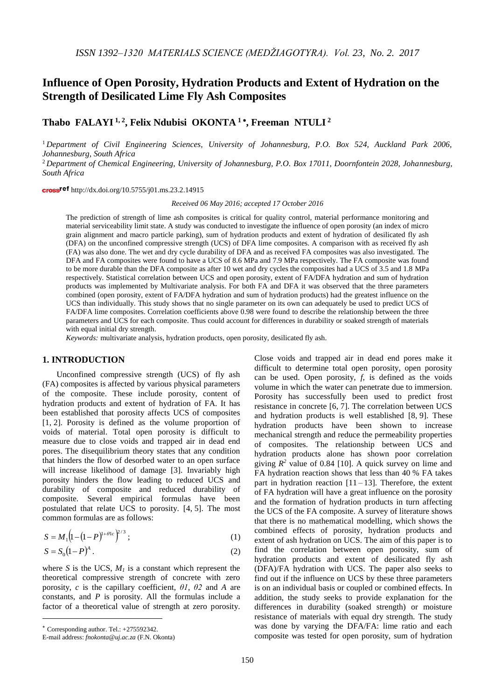# **Influence of Open Porosity, Hydration Products and Extent of Hydration on the Strength of Desilicated Lime Fly Ash Composites**

**Thabo FALAYI 1, <sup>2</sup> , Felix Ndubisi OKONTA <sup>1</sup> , Freeman NTULI <sup>2</sup>**

<sup>1</sup> *Department of Civil Engineering Sciences, University of Johannesburg, P.O. Box 524, Auckland Park 2006, Johannesburg, South Africa*

<sup>2</sup> *Department of Chemical Engineering, University of Johannesburg, P.O. Box 17011, Doornfontein 2028, Johannesburg, South Africa*

cross<sup>ref</sup> http://dx.doi.org/10.5755/j01.ms.23.2.14915

*Received 06 May 2016; accepted 17 October 2016*

The prediction of strength of lime ash composites is critical for quality control, material performance monitoring and material serviceability limit state. A study was conducted to investigate the influence of open porosity (an index of micro grain alignment and macro particle parking), sum of hydration products and extent of hydration of desilicated fly ash (DFA) on the unconfined compressive strength (UCS) of DFA lime composites. A comparison with as received fly ash (FA) was also done. The wet and dry cycle durability of DFA and as received FA composites was also investigated. The DFA and FA composites were found to have a UCS of 8.6 MPa and 7.9 MPa respectively. The FA composite was found to be more durable than the DFA composite as after 10 wet and dry cycles the composites had a UCS of 3.5 and 1.8 MPa respectively. Statistical correlation between UCS and open porosity, extent of FA/DFA hydration and sum of hydration products was implemented by Multivariate analysis. For both FA and DFA it was observed that the three parameters combined (open porosity, extent of FA/DFA hydration and sum of hydration products) had the greatest influence on the UCS than individually. This study shows that no single parameter on its own can adequately be used to predict UCS of FA/DFA lime composites. Correlation coefficients above 0.98 were found to describe the relationship between the three parameters and UCS for each composite. Thus could account for differences in durability or soaked strength of materials with equal initial dry strength.

*Keywords:* multivariate analysis, hydration products, open porosity, desilicated fly ash.

## **1. INTRODUCTION**

Unconfined compressive strength (UCS) of fly ash (FA) composites is affected by various physical parameters of the composite. These include porosity, content of hydration products and extent of hydration of FA. It has been established that porosity affects UCS of composites [1, 2]. Porosity is defined as the volume proportion of voids of material. Total open porosity is difficult to measure due to close voids and trapped air in dead end pores. The disequilibrium theory states that any condition that hinders the flow of desorbed water to an open surface will increase likelihood of damage [3]. Invariably high porosity hinders the flow leading to reduced UCS and durability of composite and reduced durability of composite. Several empirical formulas have been postulated that relate UCS to porosity. [4, 5]. The most common formulas are as follows:

$$
S = M_1 \left( 1 - (1 - P)^{1 + \theta 1 c} \right)^{2/3};
$$
\n(1)

$$
S = S_0 \left( 1 - P \right)^A. \tag{2}
$$

where *S* is the UCS,  $M<sub>1</sub>$  is a constant which represent the theoretical compressive strength of concrete with zero porosity, *c* is the capillary coefficient, *θ1*, *θ2* and *A* are constants, and *P* is porosity. All the formulas include a factor of a theoretical value of strength at zero porosity.

Corresponding author. Tel.: +275592342.

<u>.</u>

Close voids and trapped air in dead end pores make it difficult to determine total open porosity, open porosity can be used. Open porosity, *f*, is defined as the voids volume in which the water can penetrate due to immersion. Porosity has successfully been used to predict frost resistance in concrete [6, 7]. The correlation between UCS and hydration products is well established [8, 9]. These hydration products have been shown to increase mechanical strength and reduce the permeability properties of composites. The relationship between UCS and hydration products alone has shown poor correlation giving  $R^2$  value of 0.84 [10]. A quick survey on lime and FA hydration reaction shows that less than 40 % FA takes part in hydration reaction  $[11 - 13]$ . Therefore, the extent of FA hydration will have a great influence on the porosity and the formation of hydration products in turn affecting the UCS of the FA composite. A survey of literature shows that there is no mathematical modelling, which shows the combined effects of porosity, hydration products and extent of ash hydration on UCS. The aim of this paper is to find the correlation between open porosity, sum of hydration products and extent of desilicated fly ash (DFA)/FA hydration with UCS. The paper also seeks to find out if the influence on UCS by these three parameters is on an individual basis or coupled or combined effects. In addition, the study seeks to provide explanation for the differences in durability (soaked strength) or moisture resistance of materials with equal dry strength. The study was done by varying the DFA/FA: lime ratio and each composite was tested for open porosity, sum of hydration

E-mail address: *fnokonta@uj.ac.za* (F.N. Okonta)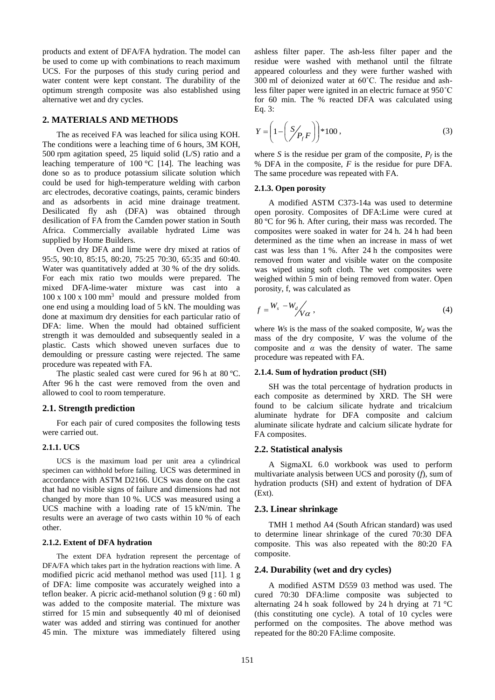products and extent of DFA/FA hydration. The model can be used to come up with combinations to reach maximum UCS. For the purposes of this study curing period and water content were kept constant. The durability of the optimum strength composite was also established using alternative wet and dry cycles.

## **2. MATERIALS AND METHODS**

The as received FA was leached for silica using KOH. The conditions were a leaching time of 6 hours, 3M KOH, 500 rpm agitation speed, 25 liquid solid (L/S) ratio and a leaching temperature of  $100^{\circ}$ C [14]. The leaching was done so as to produce potassium silicate solution which could be used for high-temperature welding with carbon arc electrodes, decorative coatings, paints, ceramic binders and as adsorbents in acid mine drainage treatment. Desilicated fly ash (DFA) was obtained through desilication of FA from the Camden power station in South Africa. Commercially available hydrated Lime was supplied by Home Builders.

Oven dry DFA and lime were dry mixed at ratios of 95:5, 90:10, 85:15, 80:20, 75:25 70:30, 65:35 and 60:40. Water was quantitatively added at 30 % of the dry solids. For each mix ratio two moulds were prepared. The mixed DFA-lime-water mixture was cast into a  $100 \times 100 \times 100$  mm<sup>3</sup> mould and pressure molded from one end using a moulding load of 5 kN. The moulding was done at maximum dry densities for each particular ratio of DFA: lime. When the mould had obtained sufficient strength it was demoulded and subsequently sealed in a plastic. Casts which showed uneven surfaces due to demoulding or pressure casting were rejected. The same procedure was repeated with FA.

The plastic sealed cast were cured for 96 h at 80 °C. After 96 h the cast were removed from the oven and allowed to cool to room temperature.

## **2.1. Strength prediction**

For each pair of cured composites the following tests were carried out.

#### **2.1.1. UCS**

UCS is the maximum load per unit area a cylindrical specimen can withhold before failing. UCS was determined in accordance with ASTM D2166. UCS was done on the cast that had no visible signs of failure and dimensions had not changed by more than 10 %. UCS was measured using a UCS machine with a loading rate of 15 kN/min. The results were an average of two casts within 10 % of each other.

#### **2.1.2. Extent of DFA hydration**

The extent DFA hydration represent the percentage of DFA/FA which takes part in the hydration reactions with lime. A modified picric acid methanol method was used [11]. 1 g of DFA: lime composite was accurately weighed into a teflon beaker. A picric acid-methanol solution  $(9 \text{ g} : 60 \text{ ml})$ was added to the composite material. The mixture was stirred for 15 min and subsequently 40 ml of deionised water was added and stirring was continued for another 45 min. The mixture was immediately filtered using ashless filter paper. The ash-less filter paper and the residue were washed with methanol until the filtrate appeared colourless and they were further washed with 300 ml of deionized water at 60˚C. The residue and ashless filter paper were ignited in an electric furnace at 950˚C for 60 min. The % reacted DFA was calculated using Eq. 3:

$$
Y = \left(1 - \left(\frac{S}{P_f}F\right)\right) * 100\,,\tag{3}
$$

where *S* is the residue per gram of the composite,  $P_f$  is the % DFA in the composite, *F* is the residue for pure DFA. The same procedure was repeated with FA.

## **2.1.3. Open porosity**

A modified ASTM C373-14a was used to determine open porosity. Composites of DFA:Lime were cured at 80 °C for 96 h. After curing, their mass was recorded. The composites were soaked in water for 24 h. 24 h had been determined as the time when an increase in mass of wet cast was less than 1 %. After 24 h the composites were removed from water and visible water on the composite was wiped using soft cloth. The wet composites were weighed within 5 min of being removed from water. Open porosity, f, was calculated as

$$
f = \frac{W_s - W_d}{V \alpha}, \qquad (4)
$$

where *Ws* is the mass of the soaked composite, *W<sup>d</sup>* was the mass of the dry composite, *V* was the volume of the composite and *α* was the density of water. The same procedure was repeated with FA.

#### **2.1.4. Sum of hydration product (SH)**

SH was the total percentage of hydration products in each composite as determined by XRD. The SH were found to be calcium silicate hydrate and tricalcium aluminate hydrate for DFA composite and calcium aluminate silicate hydrate and calcium silicate hydrate for FA composites.

## **2.2. Statistical analysis**

A SigmaXL 6.0 workbook was used to perform multivariate analysis between UCS and porosity (*f*), sum of hydration products (SH) and extent of hydration of DFA (Ext).

#### **2.3. Linear shrinkage**

TMH 1 method A4 (South African standard) was used to determine linear shrinkage of the cured 70:30 DFA composite. This was also repeated with the 80:20 FA composite.

## **2.4. Durability (wet and dry cycles)**

A modified ASTM D559 03 method was used. The cured 70:30 DFA:lime composite was subjected to alternating 24 h soak followed by 24 h drying at 71 °C (this constituting one cycle). A total of 10 cycles were performed on the composites. The above method was repeated for the 80:20 FA:lime composite.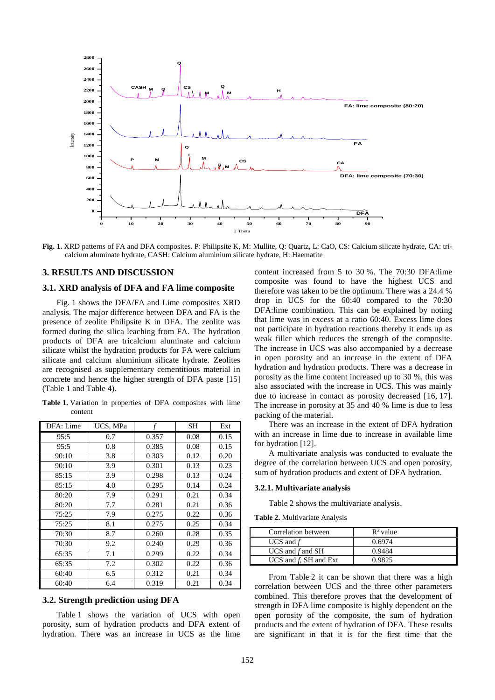

**Fig. 1.** XRD patterns of FA and DFA composites. P: Philipsite K, M: Mullite, Q: Quartz, L: CaO, CS: Calcium silicate hydrate, CA: tricalcium aluminate hydrate, CASH: Calcium aluminium silicate hydrate, H: Haematite

## **3. RESULTS AND DISCUSSION**

## **3.1. XRD analysis of DFA and FA lime composite**

Fig. 1 shows the DFA/FA and Lime composites XRD analysis. The major difference between DFA and FA is the presence of zeolite Philipsite K in DFA. The zeolite was formed during the silica leaching from FA. The hydration products of DFA are tricalcium aluminate and calcium silicate whilst the hydration products for FA were calcium silicate and calcium aluminium silicate hydrate. Zeolites are recognised as supplementary cementitious material in concrete and hence the higher strength of DFA paste [15] (Table 1 and Table 4).

**Table 1.** Variation in properties of DFA composites with lime content

| DFA: Lime | UCS, MPa |       | SН   | Ext  |
|-----------|----------|-------|------|------|
| 95:5      | 0.7      | 0.357 | 0.08 | 0.15 |
| 95:5      | 0.8      | 0.385 | 0.08 | 0.15 |
| 90:10     | 3.8      | 0.303 | 0.12 | 0.20 |
| 90:10     | 3.9      | 0.301 | 0.13 | 0.23 |
| 85:15     | 3.9      | 0.298 | 0.13 | 0.24 |
| 85:15     | 4.0      | 0.295 | 0.14 | 0.24 |
| 80:20     | 7.9      | 0.291 | 0.21 | 0.34 |
| 80:20     | 7.7      | 0.281 | 0.21 | 0.36 |
| 75:25     | 7.9      | 0.275 | 0.22 | 0.36 |
| 75:25     | 8.1      | 0.275 | 0.25 | 0.34 |
| 70:30     | 8.7      | 0.260 | 0.28 | 0.35 |
| 70:30     | 9.2      | 0.240 | 0.29 | 0.36 |
| 65:35     | 7.1      | 0.299 | 0.22 | 0.34 |
| 65:35     | 7.2      | 0.302 | 0.22 | 0.36 |
| 60:40     | 6.5      | 0.312 | 0.21 | 0.34 |
| 60:40     | 6.4      | 0.319 | 0.21 | 0.34 |

#### **3.2. Strength prediction using DFA**

Table 1 shows the variation of UCS with open porosity, sum of hydration products and DFA extent of hydration. There was an increase in UCS as the lime

content increased from 5 to 30 %. The 70:30 DFA:lime composite was found to have the highest UCS and therefore was taken to be the optimum. There was a 24.4 % drop in UCS for the 60:40 compared to the 70:30 DFA:lime combination. This can be explained by noting that lime was in excess at a ratio 60:40. Excess lime does not participate in hydration reactions thereby it ends up as weak filler which reduces the strength of the composite. The increase in UCS was also accompanied by a decrease in open porosity and an increase in the extent of DFA hydration and hydration products. There was a decrease in porosity as the lime content increased up to 30 %, this was also associated with the increase in UCS. This was mainly due to increase in contact as porosity decreased [16, 17]. The increase in porosity at 35 and 40 % lime is due to less packing of the material.

There was an increase in the extent of DFA hydration with an increase in lime due to increase in available lime for hydration [12].

A multivariate analysis was conducted to evaluate the degree of the correlation between UCS and open porosity, sum of hydration products and extent of DFA hydration.

#### **3.2.1. Multivariate analysis**

Table 2 shows the multivariate analysis.

**Table 2.** Multivariate Analysis

| Correlation between      | $\mathbb{R}^2$ value |
|--------------------------|----------------------|
| UCS and $f$              | 0.6974               |
| UCS and $f$ and SH       | 0.9484               |
| UCS and $f$ , SH and Ext | 0.9825               |

From Table 2 it can be shown that there was a high correlation between UCS and the three other parameters combined. This therefore proves that the development of strength in DFA lime composite is highly dependent on the open porosity of the composite, the sum of hydration products and the extent of hydration of DFA. These results are significant in that it is for the first time that the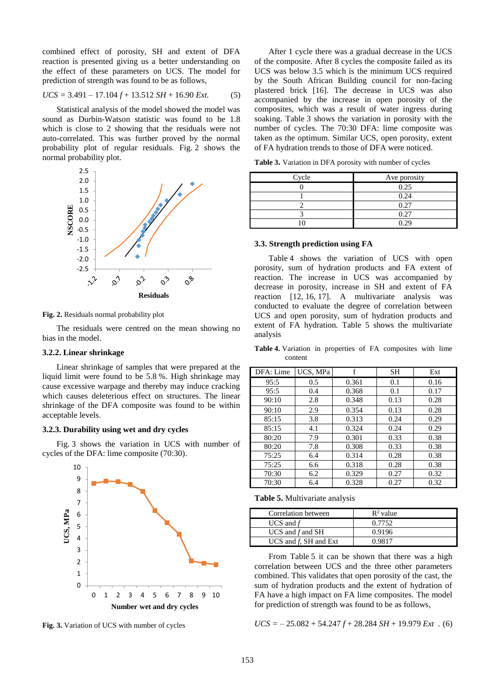combined effect of porosity, SH and extent of DFA reaction is presented giving us a better understanding on the effect of these parameters on UCS. The model for prediction of strength was found to be as follows,

$$
UCS = 3.491 - 17.104 f + 13.512 SH + 16.90 Ext.
$$
 (5)

Statistical analysis of the model showed the model was sound as Durbin-Watson statistic was found to be 1.8 which is close to 2 showing that the residuals were not auto-correlated. This was further proved by the normal probability plot of regular residuals. Fig. 2 shows the normal probability plot.



**Fig. 2.** Residuals normal probability plot

The residuals were centred on the mean showing no bias in the model.

## **3.2.2. Linear shrinkage**

Linear shrinkage of samples that were prepared at the liquid limit were found to be 5.8 %. High shrinkage may cause excessive warpage and thereby may induce cracking which causes deleterious effect on structures. The linear shrinkage of the DFA composite was found to be within acceptable levels.

### **3.2.3. Durability using wet and dry cycles**

Fig. 3 shows the variation in UCS with number of cycles of the DFA: lime composite (70:30).



**Fig. 3.** Variation of UCS with number of cycles

After 1 cycle there was a gradual decrease in the UCS of the composite. After 8 cycles the composite failed as its UCS was below 3.5 which is the minimum UCS required by the South African Building council for non-facing plastered brick [16]. The decrease in UCS was also accompanied by the increase in open porosity of the composites, which was a result of water ingress during soaking. Table 3 shows the variation in porosity with the number of cycles. The 70:30 DFA: lime composite was taken as the optimum. Similar UCS, open porosity, extent of FA hydration trends to those of DFA were noticed.

**Table 3.** Variation in DFA porosity with number of cycles

| Cycle | Ave porosity |
|-------|--------------|
|       | 0.25         |
|       | 0.24         |
|       | 0.27         |
|       | 0.27         |
|       | 0.29         |

#### **3.3. Strength prediction using FA**

Table 4 shows the variation of UCS with open porosity, sum of hydration products and FA extent of reaction. The increase in UCS was accompanied by decrease in porosity, increase in SH and extent of FA reaction [12, 16, 17]. A multivariate analysis was conducted to evaluate the degree of correlation between UCS and open porosity, sum of hydration products and extent of FA hydration*.* Table 5 shows the multivariate analysis

**Table 4.** Variation in properties of FA composites with lime content

| DFA: Lime | UCS, MPa | f     | SН   | Ext  |
|-----------|----------|-------|------|------|
| 95:5      | 0.5      | 0.361 | 0.1  | 0.16 |
| 95:5      | 0.4      | 0.368 | 0.1  | 0.17 |
| 90:10     | 2.8      | 0.348 | 0.13 | 0.28 |
| 90:10     | 2.9      | 0.354 | 0.13 | 0.28 |
| 85:15     | 3.8      | 0.313 | 0.24 | 0.29 |
| 85:15     | 4.1      | 0.324 | 0.24 | 0.29 |
| 80:20     | 7.9      | 0.301 | 0.33 | 0.38 |
| 80:20     | 7.8      | 0.308 | 0.33 | 0.38 |
| 75:25     | 6.4      | 0.314 | 0.28 | 0.38 |
| 75:25     | 6.6      | 0.318 | 0.28 | 0.38 |
| 70:30     | 6.2      | 0.329 | 0.27 | 0.32 |
| 70:30     | 6.4      | 0.328 | 0.27 | 0.32 |

**Table 5.** Multivariate analysis

| Correlation between      | $\mathbb{R}^2$ value |
|--------------------------|----------------------|
| UCS and $f$              | 0.7752               |
| UCS and $f$ and SH       | 0.9196               |
| UCS and $f$ , SH and Ext | 0.9817               |

From Table 5 it can be shown that there was a high correlation between UCS and the three other parameters combined. This validates that open porosity of the cast, the sum of hydration products and the extent of hydration of FA have a high impact on FA lime composites. The model for prediction of strength was found to be as follows,

$$
UCS = -25.082 + 54.247 f + 28.284 SH + 19.979 Ext . (6)
$$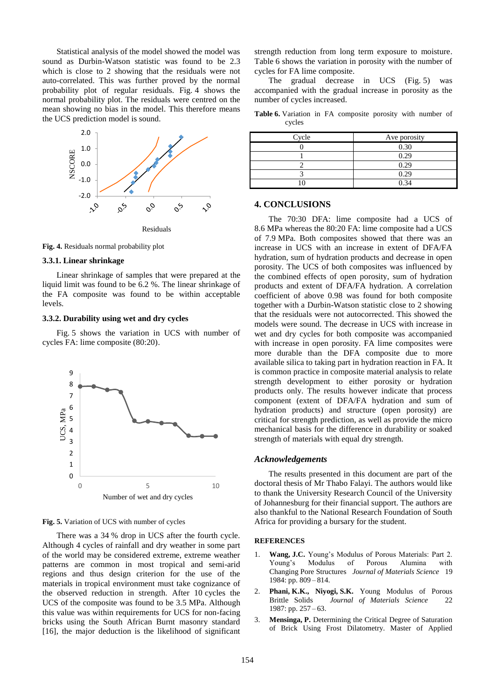Statistical analysis of the model showed the model was sound as Durbin-Watson statistic was found to be 2.3 which is close to 2 showing that the residuals were not auto-correlated. This was further proved by the normal probability plot of regular residuals. Fig. 4 shows the normal probability plot. The residuals were centred on the mean showing no bias in the model. This therefore means the UCS prediction model is sound.



**Fig. 4.** Residuals normal probability plot

## **3.3.1. Linear shrinkage**

Linear shrinkage of samples that were prepared at the liquid limit was found to be 6.2 %. The linear shrinkage of the FA composite was found to be within acceptable levels.

#### **3.3.2. Durability using wet and dry cycles**

Fig. 5 shows the variation in UCS with number of cycles FA: lime composite (80:20).



**Fig. 5.** Variation of UCS with number of cycles

There was a 34 % drop in UCS after the fourth cycle. Although 4 cycles of rainfall and dry weather in some part of the world may be considered extreme, extreme weather patterns are common in most tropical and semi-arid regions and thus design criterion for the use of the materials in tropical environment must take cognizance of the observed reduction in strength. After 10 cycles the UCS of the composite was found to be 3.5 MPa. Although this value was within requirements for UCS for non-facing bricks using the South African Burnt masonry standard [16], the major deduction is the likelihood of significant strength reduction from long term exposure to moisture. Table 6 shows the variation in porosity with the number of cycles for FA lime composite.

The gradual decrease in UCS (Fig. 5) was accompanied with the gradual increase in porosity as the number of cycles increased.

**Table 6.** Variation in FA composite porosity with number of cycles

| Cycle    | Ave porosity |
|----------|--------------|
|          | 0.30         |
|          | 0.29         |
|          | 0.29         |
|          | 0.29         |
| $\Omega$ | 0.34         |

## **4. CONCLUSIONS**

The 70:30 DFA: lime composite had a UCS of 8.6 MPa whereas the 80:20 FA: lime composite had a UCS of 7.9 MPa. Both composites showed that there was an increase in UCS with an increase in extent of DFA/FA hydration, sum of hydration products and decrease in open porosity. The UCS of both composites was influenced by the combined effects of open porosity, sum of hydration products and extent of DFA/FA hydration. A correlation coefficient of above 0.98 was found for both composite together with a Durbin-Watson statistic close to 2 showing that the residuals were not autocorrected. This showed the models were sound. The decrease in UCS with increase in wet and dry cycles for both composite was accompanied with increase in open porosity. FA lime composites were more durable than the DFA composite due to more available silica to taking part in hydration reaction in FA. It is common practice in composite material analysis to relate strength development to either porosity or hydration products only. The results however indicate that process component (extent of DFA/FA hydration and sum of hydration products) and structure (open porosity) are critical for strength prediction, as well as provide the micro mechanical basis for the difference in durability or soaked strength of materials with equal dry strength.

## *Acknowledgements*

The results presented in this document are part of the doctoral thesis of Mr Thabo Falayi. The authors would like to thank the University Research Council of the University of Johannesburg for their financial support. The authors are also thankful to the National Research Foundation of South Africa for providing a bursary for the student.

#### **REFERENCES**

- 1. **Wang, J.C.** Young's Modulus of Porous Materials: Part 2. Young's Modulus of Porous Alumina with Changing Pore Structures *Journal of Materials Science* 19 1984: pp. 809 – 814.
- 2. **Phani, K.K., Niyogi, S.K.** Young Modulus of Porous Brittle Solids *Journal of Materials Science* 22 1987: pp. 257 – 63.
- 3. **Mensinga, P.** Determining the Critical Degree of Saturation of Brick Using Frost Dilatometry. Master of Applied